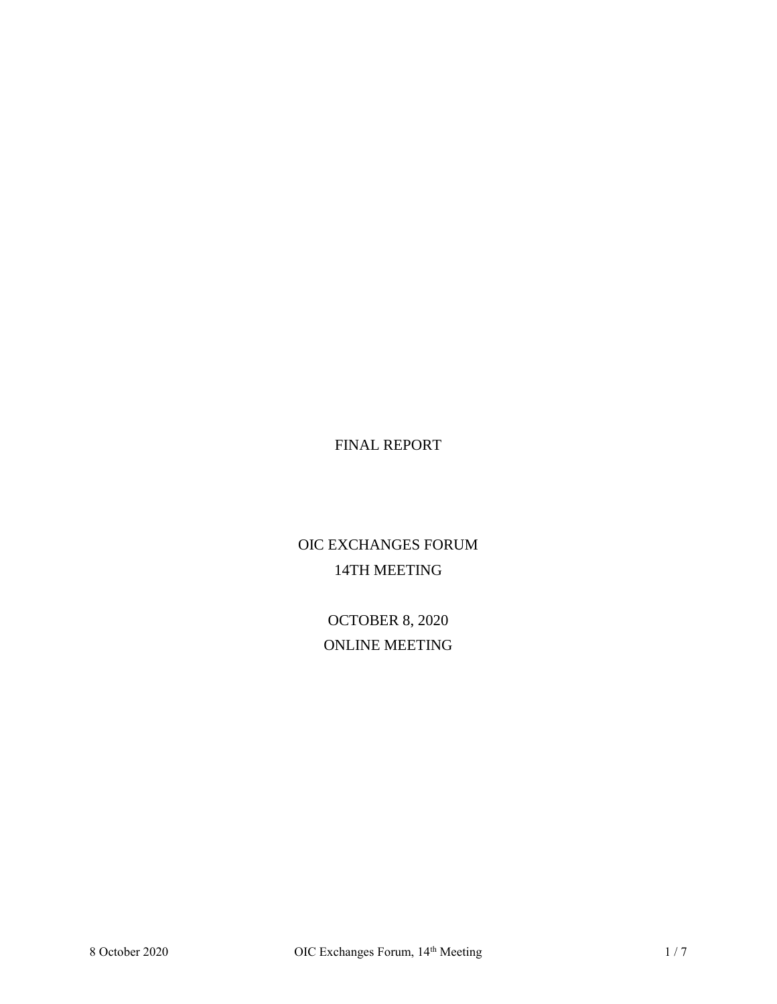# FINAL REPORT

# OIC EXCHANGES FORUM 14TH MEETING

OCTOBER 8, 2020 ONLINE MEETING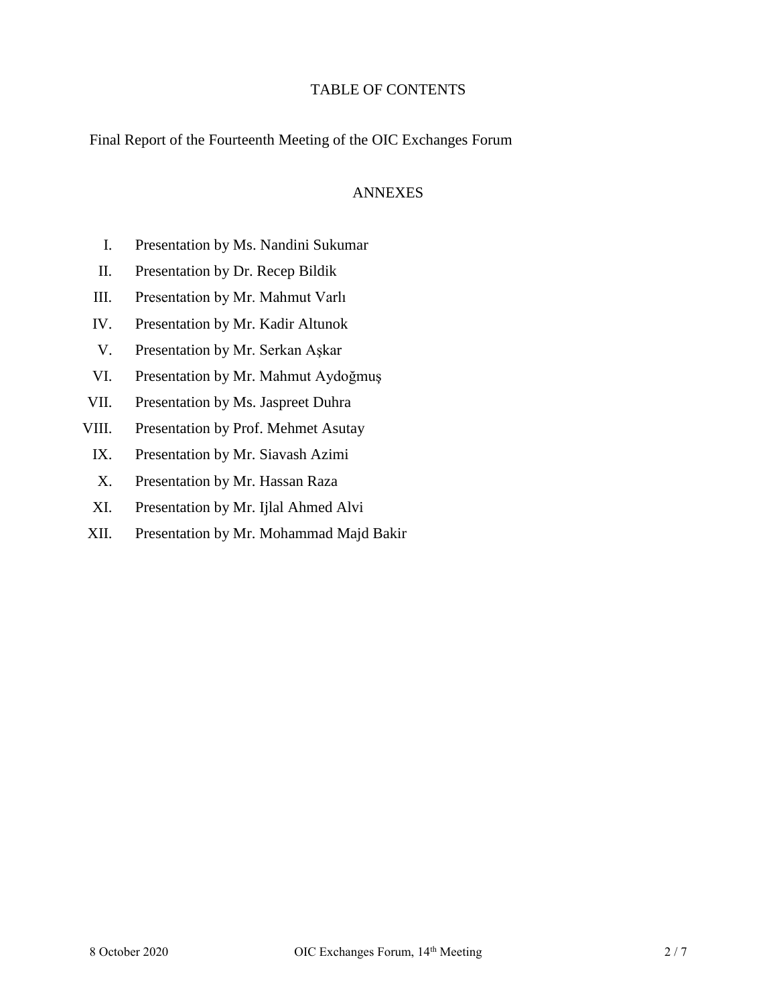### TABLE OF CONTENTS

Final Report of the Fourteenth Meeting of the OIC Exchanges Forum

#### ANNEXES

- I. Presentation by Ms. Nandini Sukumar
- II. Presentation by Dr. Recep Bildik
- III. Presentation by Mr. Mahmut Varlı
- IV. Presentation by Mr. Kadir Altunok
- V. Presentation by Mr. Serkan Aşkar
- VI. Presentation by Mr. Mahmut Aydoğmuş
- VII. Presentation by Ms. Jaspreet Duhra
- VIII. Presentation by Prof. Mehmet Asutay
	- IX. Presentation by Mr. Siavash Azimi
	- X. Presentation by Mr. Hassan Raza
	- XI. Presentation by Mr. Ijlal Ahmed Alvi
- XII. Presentation by Mr. Mohammad Majd Bakir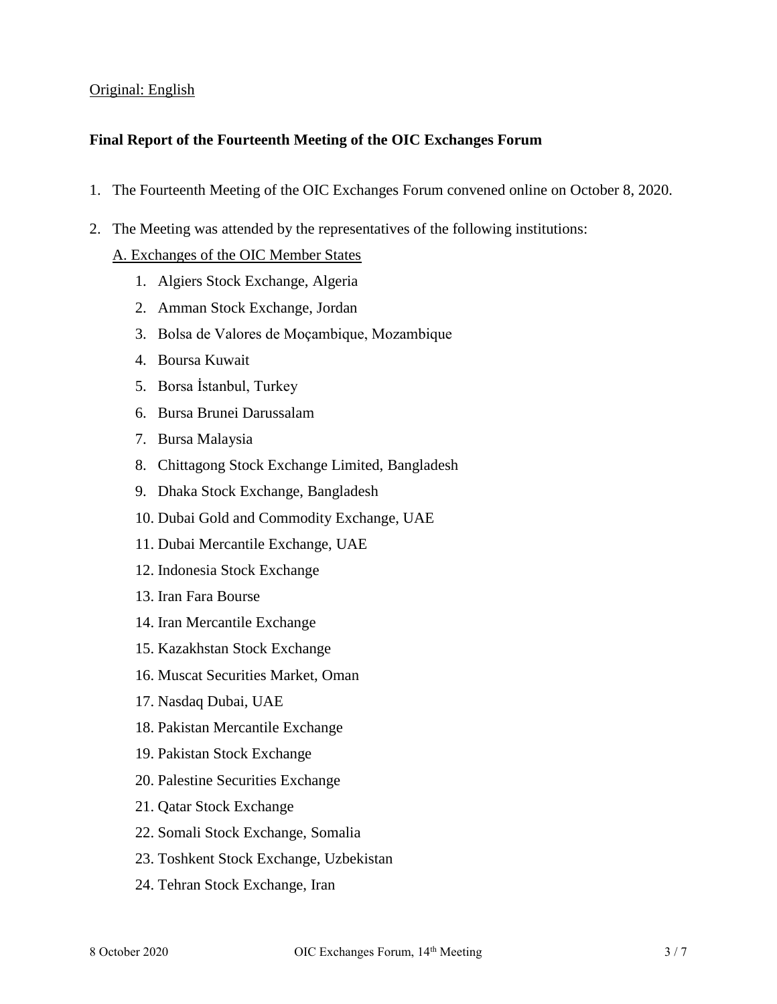#### Original: English

#### **Final Report of the Fourteenth Meeting of the OIC Exchanges Forum**

- 1. The Fourteenth Meeting of the OIC Exchanges Forum convened online on October 8, 2020.
- 2. The Meeting was attended by the representatives of the following institutions:

### A. Exchanges of the OIC Member States

- 1. Algiers Stock Exchange, Algeria
- 2. Amman Stock Exchange, Jordan
- 3. Bolsa de Valores de Moçambique, Mozambique
- 4. Boursa Kuwait
- 5. Borsa İstanbul, Turkey
- 6. Bursa Brunei Darussalam
- 7. Bursa Malaysia
- 8. Chittagong Stock Exchange Limited, Bangladesh
- 9. Dhaka Stock Exchange, Bangladesh
- 10. Dubai Gold and Commodity Exchange, UAE
- 11. Dubai Mercantile Exchange, UAE
- 12. Indonesia Stock Exchange
- 13. Iran Fara Bourse
- 14. Iran Mercantile Exchange
- 15. Kazakhstan Stock Exchange
- 16. Muscat Securities Market, Oman
- 17. Nasdaq Dubai, UAE
- 18. Pakistan Mercantile Exchange
- 19. Pakistan Stock Exchange
- 20. Palestine Securities Exchange
- 21. Qatar Stock Exchange
- 22. Somali Stock Exchange, Somalia
- 23. Toshkent Stock Exchange, Uzbekistan
- 24. Tehran Stock Exchange, Iran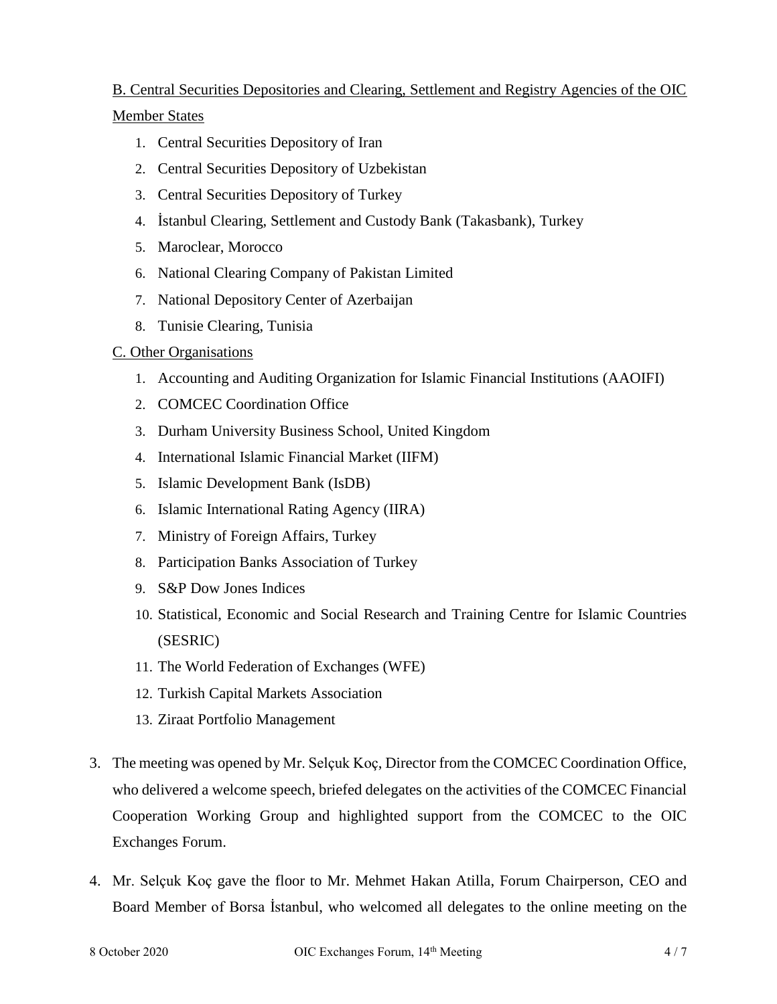# B. Central Securities Depositories and Clearing, Settlement and Registry Agencies of the OIC Member States

- 1. Central Securities Depository of Iran
- 2. Central Securities Depository of Uzbekistan
- 3. Central Securities Depository of Turkey
- 4. İstanbul Clearing, Settlement and Custody Bank (Takasbank), Turkey
- 5. Maroclear, Morocco
- 6. National Clearing Company of Pakistan Limited
- 7. National Depository Center of Azerbaijan
- 8. Tunisie Clearing, Tunisia

## C. Other Organisations

- 1. Accounting and Auditing Organization for Islamic Financial Institutions (AAOIFI)
- 2. COMCEC Coordination Office
- 3. Durham University Business School, United Kingdom
- 4. International Islamic Financial Market (IIFM)
- 5. Islamic Development Bank (IsDB)
- 6. Islamic International Rating Agency (IIRA)
- 7. Ministry of Foreign Affairs, Turkey
- 8. Participation Banks Association of Turkey
- 9. S&P Dow Jones Indices
- 10. Statistical, Economic and Social Research and Training Centre for Islamic Countries (SESRIC)
- 11. The World Federation of Exchanges (WFE)
- 12. Turkish Capital Markets Association
- 13. Ziraat Portfolio Management
- 3. The meeting was opened by Mr. Selçuk Koç, Director from the COMCEC Coordination Office, who delivered a welcome speech, briefed delegates on the activities of the COMCEC Financial Cooperation Working Group and highlighted support from the COMCEC to the OIC Exchanges Forum.
- 4. Mr. Selçuk Koç gave the floor to Mr. Mehmet Hakan Atilla, Forum Chairperson, CEO and Board Member of Borsa İstanbul, who welcomed all delegates to the online meeting on the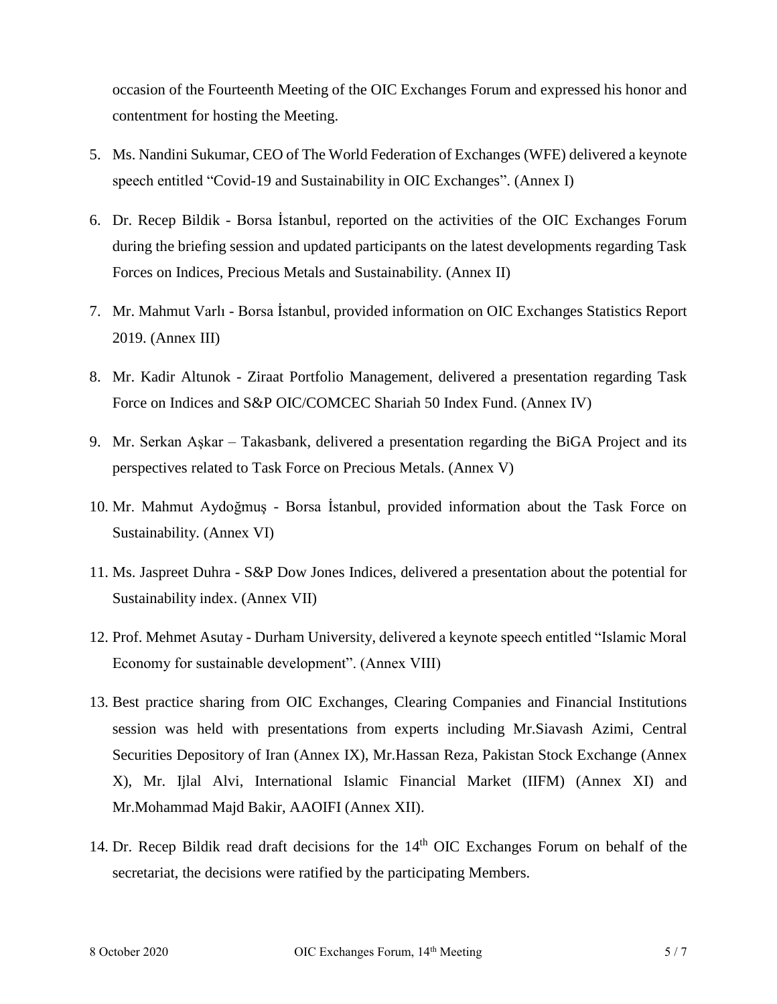occasion of the Fourteenth Meeting of the OIC Exchanges Forum and expressed his honor and contentment for hosting the Meeting.

- 5. Ms. Nandini Sukumar, CEO of The World Federation of Exchanges (WFE) delivered a keynote speech entitled "Covid-19 and Sustainability in OIC Exchanges". (Annex I)
- 6. Dr. Recep Bildik Borsa İstanbul, reported on the activities of the OIC Exchanges Forum during the briefing session and updated participants on the latest developments regarding Task Forces on Indices, Precious Metals and Sustainability. (Annex II)
- 7. Mr. Mahmut Varlı Borsa İstanbul, provided information on OIC Exchanges Statistics Report 2019. (Annex III)
- 8. Mr. Kadir Altunok Ziraat Portfolio Management, delivered a presentation regarding Task Force on Indices and S&P OIC/COMCEC Shariah 50 Index Fund. (Annex IV)
- 9. Mr. Serkan Aşkar Takasbank, delivered a presentation regarding the BiGA Project and its perspectives related to Task Force on Precious Metals. (Annex V)
- 10. Mr. Mahmut Aydoğmuş Borsa İstanbul, provided information about the Task Force on Sustainability. (Annex VI)
- 11. Ms. Jaspreet Duhra S&P Dow Jones Indices, delivered a presentation about the potential for Sustainability index. (Annex VII)
- 12. Prof. Mehmet Asutay Durham University, delivered a keynote speech entitled "Islamic Moral Economy for sustainable development". (Annex VIII)
- 13. Best practice sharing from OIC Exchanges, Clearing Companies and Financial Institutions session was held with presentations from experts including Mr.Siavash Azimi, Central Securities Depository of Iran (Annex IX), Mr.Hassan Reza, Pakistan Stock Exchange (Annex X), Mr. Ijlal Alvi, International Islamic Financial Market (IIFM) (Annex XI) and Mr.Mohammad Majd Bakir, AAOIFI (Annex XII).
- 14. Dr. Recep Bildik read draft decisions for the 14<sup>th</sup> OIC Exchanges Forum on behalf of the secretariat, the decisions were ratified by the participating Members.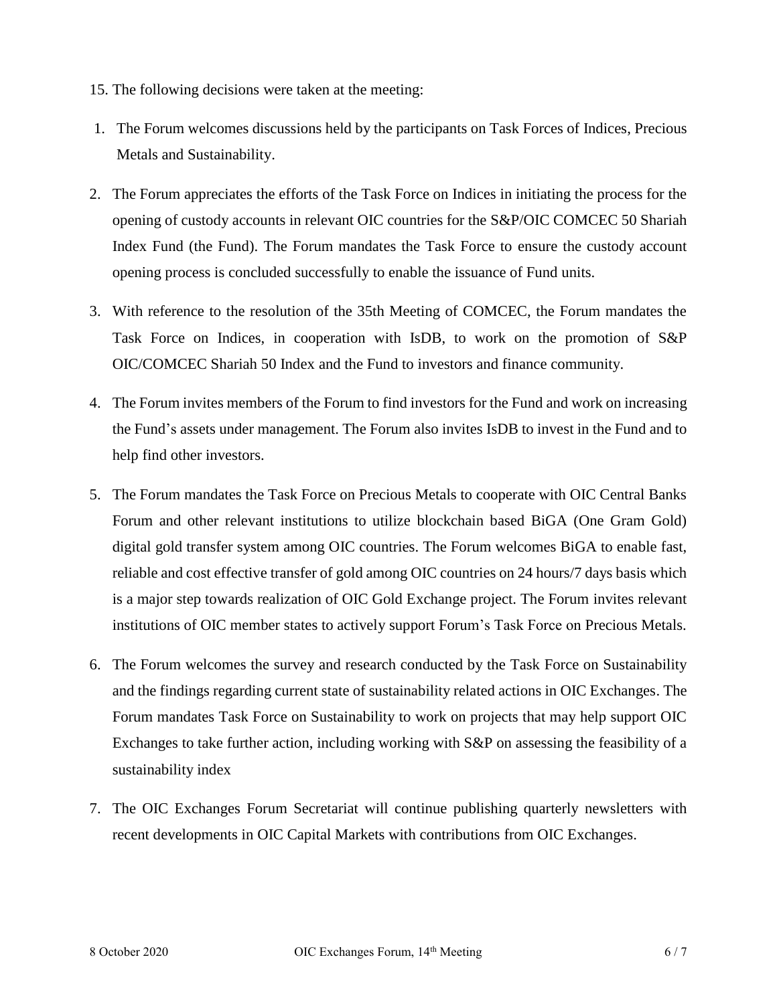- 15. The following decisions were taken at the meeting:
- 1. The Forum welcomes discussions held by the participants on Task Forces of Indices, Precious Metals and Sustainability.
- 2. The Forum appreciates the efforts of the Task Force on Indices in initiating the process for the opening of custody accounts in relevant OIC countries for the S&P/OIC COMCEC 50 Shariah Index Fund (the Fund). The Forum mandates the Task Force to ensure the custody account opening process is concluded successfully to enable the issuance of Fund units.
- 3. With reference to the resolution of the 35th Meeting of COMCEC, the Forum mandates the Task Force on Indices, in cooperation with IsDB, to work on the promotion of S&P OIC/COMCEC Shariah 50 Index and the Fund to investors and finance community.
- 4. The Forum invites members of the Forum to find investors for the Fund and work on increasing the Fund's assets under management. The Forum also invites IsDB to invest in the Fund and to help find other investors.
- 5. The Forum mandates the Task Force on Precious Metals to cooperate with OIC Central Banks Forum and other relevant institutions to utilize blockchain based BiGA (One Gram Gold) digital gold transfer system among OIC countries. The Forum welcomes BiGA to enable fast, reliable and cost effective transfer of gold among OIC countries on 24 hours/7 days basis which is a major step towards realization of OIC Gold Exchange project. The Forum invites relevant institutions of OIC member states to actively support Forum's Task Force on Precious Metals.
- 6. The Forum welcomes the survey and research conducted by the Task Force on Sustainability and the findings regarding current state of sustainability related actions in OIC Exchanges. The Forum mandates Task Force on Sustainability to work on projects that may help support OIC Exchanges to take further action, including working with S&P on assessing the feasibility of a sustainability index
- 7. The OIC Exchanges Forum Secretariat will continue publishing quarterly newsletters with recent developments in OIC Capital Markets with contributions from OIC Exchanges.